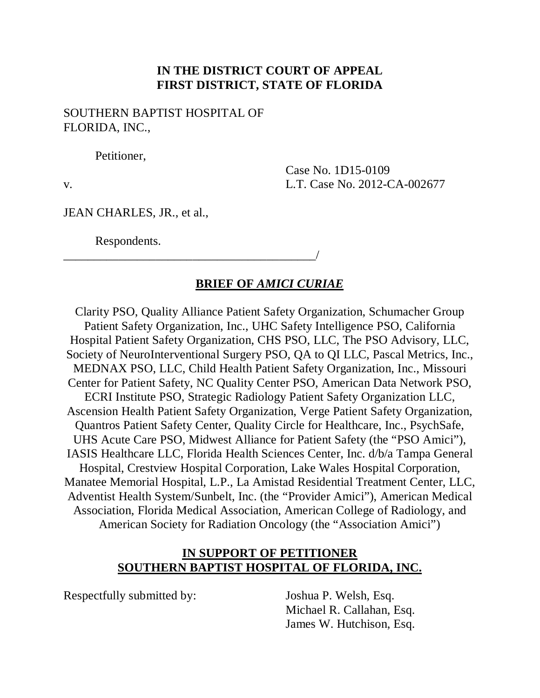## **IN THE DISTRICT COURT OF APPEAL FIRST DISTRICT, STATE OF FLORIDA**

SOUTHERN BAPTIST HOSPITAL OF FLORIDA, INC.,

\_\_\_\_\_\_\_\_\_\_\_\_\_\_\_\_\_\_\_\_\_\_\_\_\_\_\_\_\_\_\_\_\_\_\_\_\_\_\_\_\_/

Petitioner,

Case No. 1D15-0109 v. L.T. Case No. 2012-CA-002677

JEAN CHARLES, JR., et al.,

Respondents.

### **BRIEF OF** *AMICI CURIAE*

Clarity PSO, Quality Alliance Patient Safety Organization, Schumacher Group Patient Safety Organization, Inc., UHC Safety Intelligence PSO, California Hospital Patient Safety Organization, CHS PSO, LLC, The PSO Advisory, LLC, Society of NeuroInterventional Surgery PSO, QA to QI LLC, Pascal Metrics, Inc., MEDNAX PSO, LLC, Child Health Patient Safety Organization, Inc., Missouri Center for Patient Safety, NC Quality Center PSO, American Data Network PSO, ECRI Institute PSO, Strategic Radiology Patient Safety Organization LLC, Ascension Health Patient Safety Organization, Verge Patient Safety Organization, Quantros Patient Safety Center, Quality Circle for Healthcare, Inc., PsychSafe, UHS Acute Care PSO, Midwest Alliance for Patient Safety (the "PSO Amici"), IASIS Healthcare LLC, Florida Health Sciences Center, Inc. d/b/a Tampa General Hospital, Crestview Hospital Corporation, Lake Wales Hospital Corporation, Manatee Memorial Hospital, L.P., La Amistad Residential Treatment Center, LLC, Adventist Health System/Sunbelt, Inc. (the "Provider Amici"), American Medical Association, Florida Medical Association, American College of Radiology, and American Society for Radiation Oncology (the "Association Amici")

#### **IN SUPPORT OF PETITIONER SOUTHERN BAPTIST HOSPITAL OF FLORIDA, INC.**

Respectfully submitted by: Joshua P. Welsh, Esq.

Michael R. Callahan, Esq. James W. Hutchison, Esq.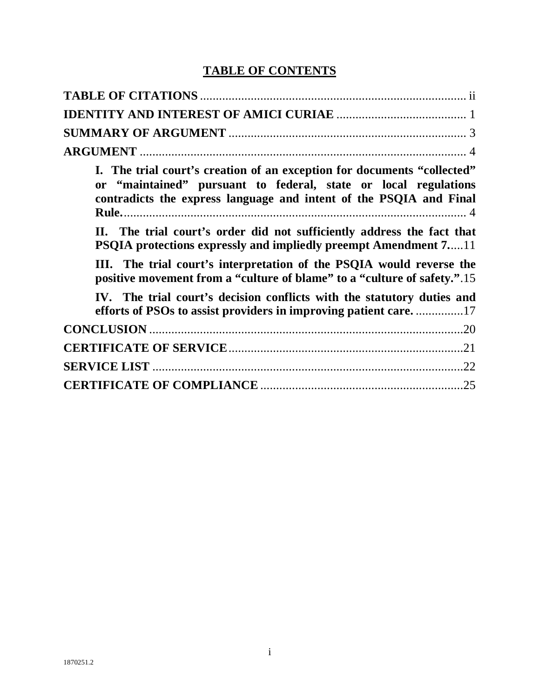# **TABLE OF CONTENTS**

| I. The trial court's creation of an exception for documents "collected"<br>or "maintained" pursuant to federal, state or local regulations<br>contradicts the express language and intent of the PSQIA and Final |
|------------------------------------------------------------------------------------------------------------------------------------------------------------------------------------------------------------------|
| II. The trial court's order did not sufficiently address the fact that<br><b>PSQIA</b> protections expressly and impliedly preempt Amendment 711                                                                 |
| III. The trial court's interpretation of the PSQIA would reverse the<br>positive movement from a "culture of blame" to a "culture of safety.".15                                                                 |
| IV. The trial court's decision conflicts with the statutory duties and                                                                                                                                           |
|                                                                                                                                                                                                                  |
|                                                                                                                                                                                                                  |
|                                                                                                                                                                                                                  |
|                                                                                                                                                                                                                  |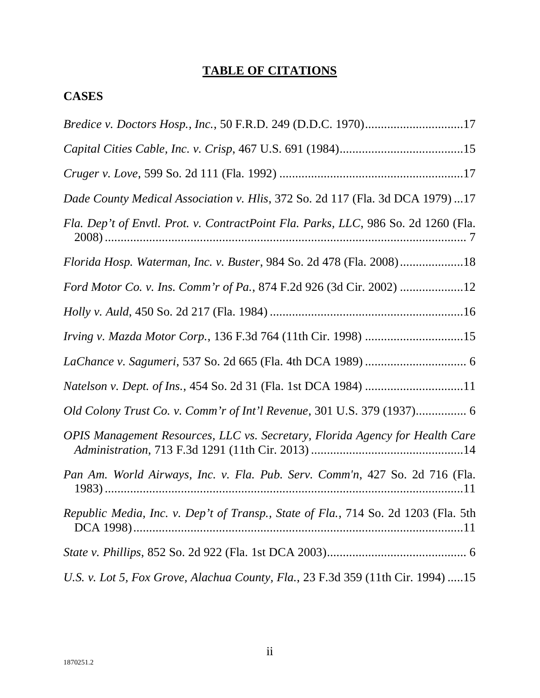# **TABLE OF CITATIONS**

## **CASES**

| Bredice v. Doctors Hosp., Inc., 50 F.R.D. 249 (D.D.C. 1970)17                      |
|------------------------------------------------------------------------------------|
|                                                                                    |
|                                                                                    |
| Dade County Medical Association v. Hlis, 372 So. 2d 117 (Fla. 3d DCA 1979)17       |
| Fla. Dep't of Envtl. Prot. v. ContractPoint Fla. Parks, LLC, 986 So. 2d 1260 (Fla. |
| Florida Hosp. Waterman, Inc. v. Buster, 984 So. 2d 478 (Fla. 2008)18               |
| Ford Motor Co. v. Ins. Comm'r of Pa., 874 F.2d 926 (3d Cir. 2002) 12               |
|                                                                                    |
| Irving v. Mazda Motor Corp., 136 F.3d 764 (11th Cir. 1998) 15                      |
|                                                                                    |
|                                                                                    |
| Old Colony Trust Co. v. Comm'r of Int'l Revenue, 301 U.S. 379 (1937) 6             |
| OPIS Management Resources, LLC vs. Secretary, Florida Agency for Health Care       |
| Pan Am. World Airways, Inc. v. Fla. Pub. Serv. Comm'n, 427 So. 2d 716 (Fla.        |
| Republic Media, Inc. v. Dep't of Transp., State of Fla., 714 So. 2d 1203 (Fla. 5th |
|                                                                                    |
| U.S. v. Lot 5, Fox Grove, Alachua County, Fla., 23 F.3d 359 (11th Cir. 1994) 15    |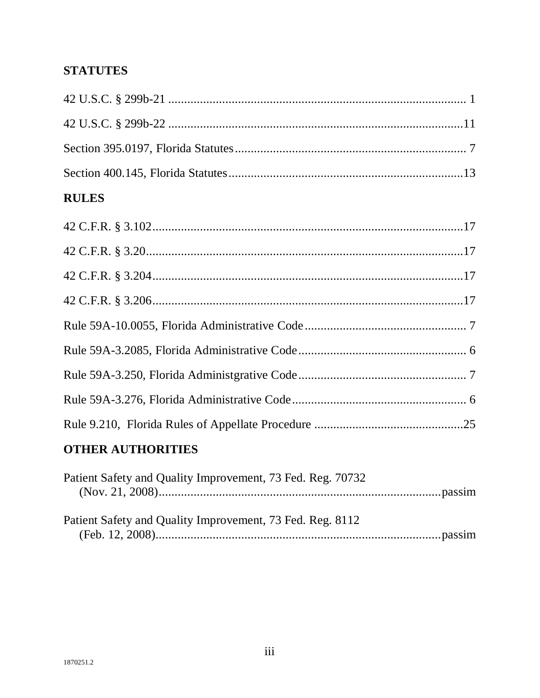# **STATUTES**

| <b>RULES</b> |
|--------------|
|              |
|              |
|              |
|              |
|              |
|              |
|              |
|              |
|              |
|              |

# **OTHER AUTHORITIES**

| Patient Safety and Quality Improvement, 73 Fed. Reg. 70732 |  |
|------------------------------------------------------------|--|
|                                                            |  |
| Patient Safety and Quality Improvement, 73 Fed. Reg. 8112  |  |
|                                                            |  |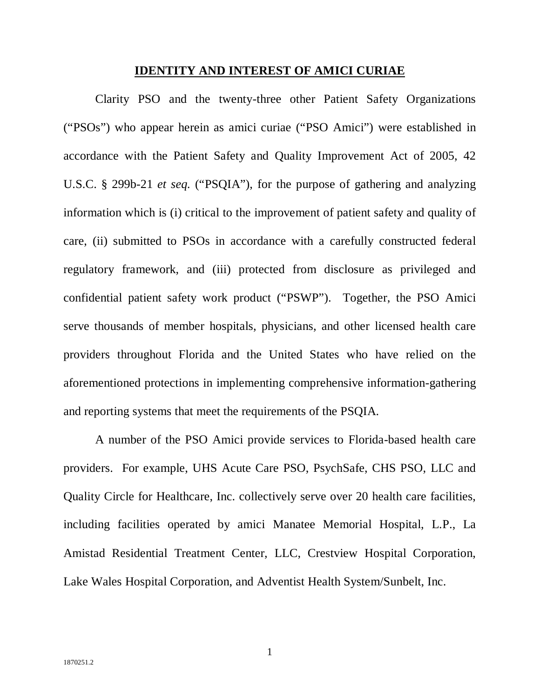#### **IDENTITY AND INTEREST OF AMICI CURIAE**

Clarity PSO and the twenty-three other Patient Safety Organizations ("PSOs") who appear herein as amici curiae ("PSO Amici") were established in accordance with the Patient Safety and Quality Improvement Act of 2005, 42 U.S.C. § 299b-21 *et seq.* ("PSQIA"), for the purpose of gathering and analyzing information which is (i) critical to the improvement of patient safety and quality of care, (ii) submitted to PSOs in accordance with a carefully constructed federal regulatory framework, and (iii) protected from disclosure as privileged and confidential patient safety work product ("PSWP"). Together, the PSO Amici serve thousands of member hospitals, physicians, and other licensed health care providers throughout Florida and the United States who have relied on the aforementioned protections in implementing comprehensive information-gathering and reporting systems that meet the requirements of the PSQIA.

A number of the PSO Amici provide services to Florida-based health care providers. For example, UHS Acute Care PSO, PsychSafe, CHS PSO, LLC and Quality Circle for Healthcare, Inc. collectively serve over 20 health care facilities, including facilities operated by amici Manatee Memorial Hospital, L.P., La Amistad Residential Treatment Center, LLC, Crestview Hospital Corporation, Lake Wales Hospital Corporation, and Adventist Health System/Sunbelt, Inc.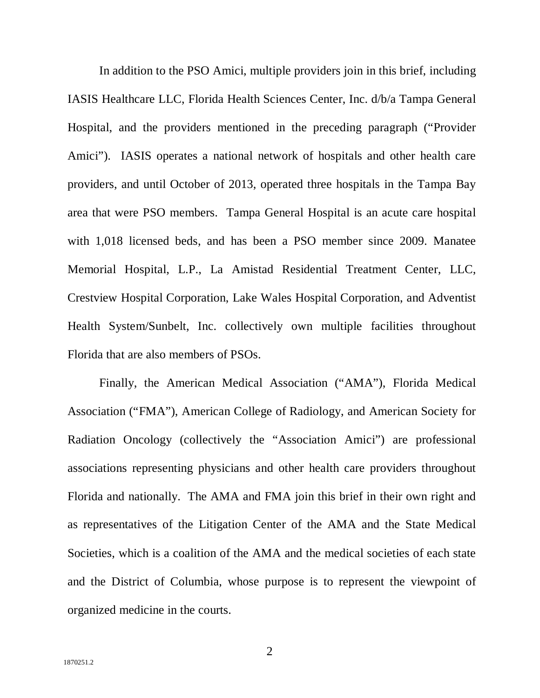In addition to the PSO Amici, multiple providers join in this brief, including IASIS Healthcare LLC, Florida Health Sciences Center, Inc. d/b/a Tampa General Hospital, and the providers mentioned in the preceding paragraph ("Provider Amici"). IASIS operates a national network of hospitals and other health care providers, and until October of 2013, operated three hospitals in the Tampa Bay area that were PSO members. Tampa General Hospital is an acute care hospital with 1,018 licensed beds, and has been a PSO member since 2009. Manatee Memorial Hospital, L.P., La Amistad Residential Treatment Center, LLC, Crestview Hospital Corporation, Lake Wales Hospital Corporation, and Adventist Health System/Sunbelt, Inc. collectively own multiple facilities throughout Florida that are also members of PSOs.

Finally, the American Medical Association ("AMA"), Florida Medical Association ("FMA"), American College of Radiology, and American Society for Radiation Oncology (collectively the "Association Amici") are professional associations representing physicians and other health care providers throughout Florida and nationally. The AMA and FMA join this brief in their own right and as representatives of the Litigation Center of the AMA and the State Medical Societies, which is a coalition of the AMA and the medical societies of each state and the District of Columbia, whose purpose is to represent the viewpoint of organized medicine in the courts.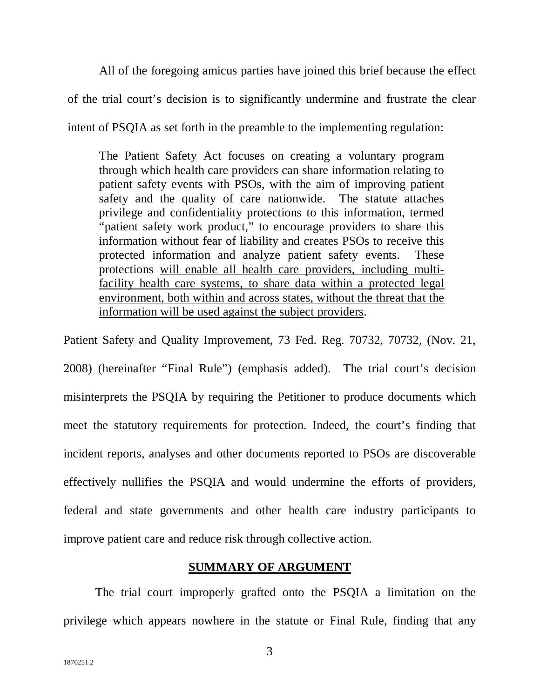All of the foregoing amicus parties have joined this brief because the effect of the trial court's decision is to significantly undermine and frustrate the clear intent of PSQIA as set forth in the preamble to the implementing regulation:

The Patient Safety Act focuses on creating a voluntary program through which health care providers can share information relating to patient safety events with PSOs, with the aim of improving patient safety and the quality of care nationwide. The statute attaches privilege and confidentiality protections to this information, termed "patient safety work product," to encourage providers to share this information without fear of liability and creates PSOs to receive this protected information and analyze patient safety events. These protections will enable all health care providers, including multifacility health care systems, to share data within a protected legal environment, both within and across states, without the threat that the information will be used against the subject providers.

Patient Safety and Quality Improvement, 73 Fed. Reg. 70732, 70732, (Nov. 21, 2008) (hereinafter "Final Rule") (emphasis added). The trial court's decision misinterprets the PSQIA by requiring the Petitioner to produce documents which meet the statutory requirements for protection. Indeed, the court's finding that incident reports, analyses and other documents reported to PSOs are discoverable effectively nullifies the PSQIA and would undermine the efforts of providers, federal and state governments and other health care industry participants to improve patient care and reduce risk through collective action.

#### **SUMMARY OF ARGUMENT**

The trial court improperly grafted onto the PSQIA a limitation on the privilege which appears nowhere in the statute or Final Rule, finding that any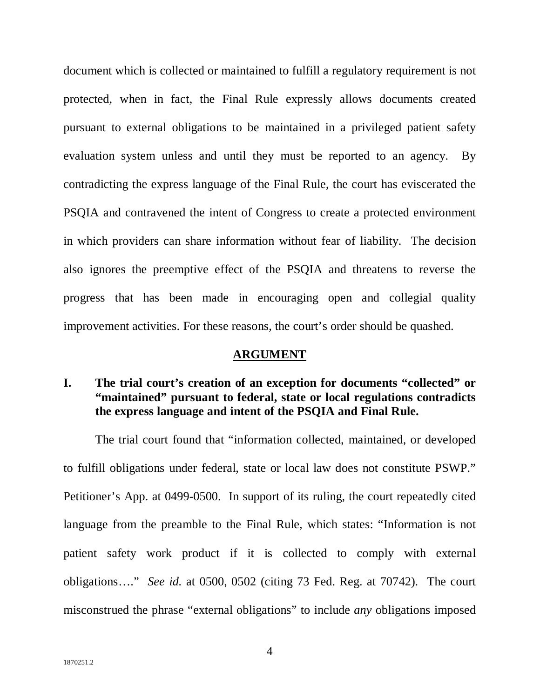document which is collected or maintained to fulfill a regulatory requirement is not protected, when in fact, the Final Rule expressly allows documents created pursuant to external obligations to be maintained in a privileged patient safety evaluation system unless and until they must be reported to an agency. By contradicting the express language of the Final Rule, the court has eviscerated the PSQIA and contravened the intent of Congress to create a protected environment in which providers can share information without fear of liability. The decision also ignores the preemptive effect of the PSQIA and threatens to reverse the progress that has been made in encouraging open and collegial quality improvement activities. For these reasons, the court's order should be quashed.

### **ARGUMENT**

## **I. The trial court's creation of an exception for documents "collected" or "maintained" pursuant to federal, state or local regulations contradicts the express language and intent of the PSQIA and Final Rule.**

The trial court found that "information collected, maintained, or developed to fulfill obligations under federal, state or local law does not constitute PSWP." Petitioner's App. at 0499-0500. In support of its ruling, the court repeatedly cited language from the preamble to the Final Rule, which states: "Information is not patient safety work product if it is collected to comply with external obligations…." *See id.* at 0500, 0502 (citing 73 Fed. Reg. at 70742). The court misconstrued the phrase "external obligations" to include *any* obligations imposed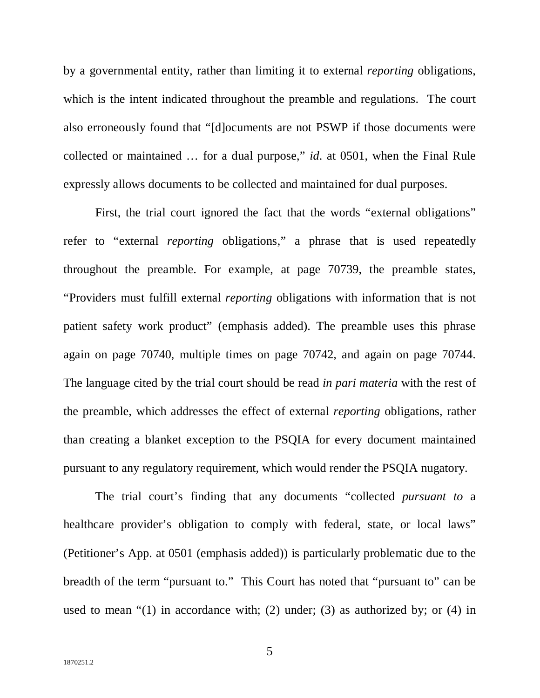by a governmental entity, rather than limiting it to external *reporting* obligations, which is the intent indicated throughout the preamble and regulations. The court also erroneously found that "[d]ocuments are not PSWP if those documents were collected or maintained … for a dual purpose," *id*. at 0501, when the Final Rule expressly allows documents to be collected and maintained for dual purposes.

First, the trial court ignored the fact that the words "external obligations" refer to "external *reporting* obligations," a phrase that is used repeatedly throughout the preamble. For example, at page 70739, the preamble states, "Providers must fulfill external *reporting* obligations with information that is not patient safety work product" (emphasis added). The preamble uses this phrase again on page 70740, multiple times on page 70742, and again on page 70744. The language cited by the trial court should be read *in pari materia* with the rest of the preamble, which addresses the effect of external *reporting* obligations, rather than creating a blanket exception to the PSQIA for every document maintained pursuant to any regulatory requirement, which would render the PSQIA nugatory.

The trial court's finding that any documents "collected *pursuant to* a healthcare provider's obligation to comply with federal, state, or local laws" (Petitioner's App. at 0501 (emphasis added)) is particularly problematic due to the breadth of the term "pursuant to." This Court has noted that "pursuant to" can be used to mean " $(1)$  in accordance with;  $(2)$  under;  $(3)$  as authorized by; or  $(4)$  in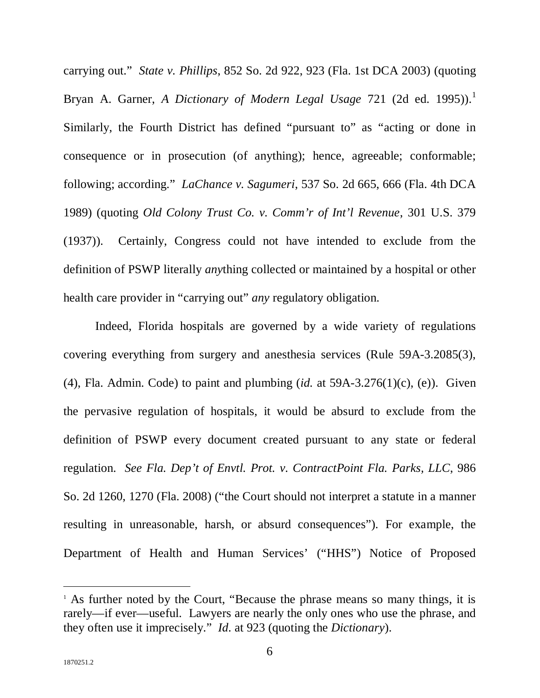carrying out." *State v. Phillips*, 852 So. 2d 922, 923 (Fla. 1st DCA 2003) (quoting Bryan A. Garner, *A Dictionary of Modern Legal Usage* 721 (2d ed. 1995)). 1 Similarly, the Fourth District has defined "pursuant to" as "acting or done in consequence or in prosecution (of anything); hence, agreeable; conformable; following; according." *LaChance v. Sagumeri*, 537 So. 2d 665, 666 (Fla. 4th DCA 1989) (quoting *Old Colony Trust Co. v. Comm'r of Int'l Revenue*, 301 U.S. 379 (1937)). Certainly, Congress could not have intended to exclude from the definition of PSWP literally *any*thing collected or maintained by a hospital or other health care provider in "carrying out" *any* regulatory obligation.

Indeed, Florida hospitals are governed by a wide variety of regulations covering everything from surgery and anesthesia services (Rule 59A-3.2085(3), (4), Fla. Admin. Code) to paint and plumbing (*id.* at 59A-3.276(1)(c), (e)). Given the pervasive regulation of hospitals, it would be absurd to exclude from the definition of PSWP every document created pursuant to any state or federal regulation. *See Fla. Dep't of Envtl. Prot. v. ContractPoint Fla. Parks, LLC*, 986 So. 2d 1260, 1270 (Fla. 2008) ("the Court should not interpret a statute in a manner resulting in unreasonable, harsh, or absurd consequences"). For example, the Department of Health and Human Services' ("HHS") Notice of Proposed

<sup>&</sup>lt;sup>1</sup> As further noted by the Court, "Because the phrase means so many things, it is rarely—if ever—useful. Lawyers are nearly the only ones who use the phrase, and they often use it imprecisely." *Id*. at 923 (quoting the *Dictionary*).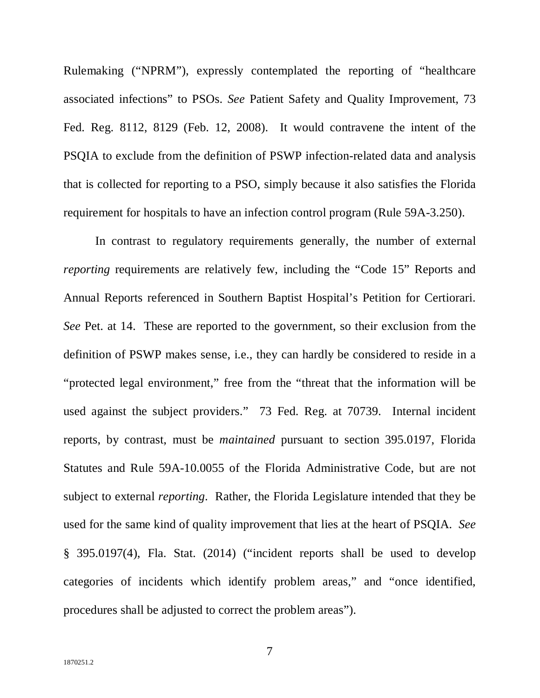Rulemaking ("NPRM"), expressly contemplated the reporting of "healthcare associated infections" to PSOs. *See* Patient Safety and Quality Improvement, 73 Fed. Reg. 8112, 8129 (Feb. 12, 2008). It would contravene the intent of the PSQIA to exclude from the definition of PSWP infection-related data and analysis that is collected for reporting to a PSO, simply because it also satisfies the Florida requirement for hospitals to have an infection control program (Rule 59A-3.250).

In contrast to regulatory requirements generally, the number of external *reporting* requirements are relatively few, including the "Code 15" Reports and Annual Reports referenced in Southern Baptist Hospital's Petition for Certiorari. *See* Pet. at 14. These are reported to the government, so their exclusion from the definition of PSWP makes sense, i.e., they can hardly be considered to reside in a "protected legal environment," free from the "threat that the information will be used against the subject providers." 73 Fed. Reg. at 70739. Internal incident reports, by contrast, must be *maintained* pursuant to section 395.0197, Florida Statutes and Rule 59A-10.0055 of the Florida Administrative Code, but are not subject to external *reporting*. Rather, the Florida Legislature intended that they be used for the same kind of quality improvement that lies at the heart of PSQIA. *See*  § 395.0197(4), Fla. Stat. (2014) ("incident reports shall be used to develop categories of incidents which identify problem areas," and "once identified, procedures shall be adjusted to correct the problem areas").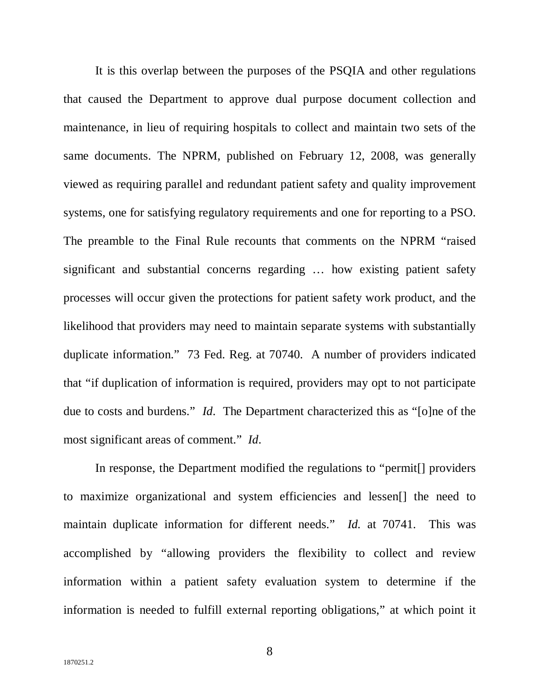It is this overlap between the purposes of the PSQIA and other regulations that caused the Department to approve dual purpose document collection and maintenance, in lieu of requiring hospitals to collect and maintain two sets of the same documents. The NPRM, published on February 12, 2008, was generally viewed as requiring parallel and redundant patient safety and quality improvement systems, one for satisfying regulatory requirements and one for reporting to a PSO. The preamble to the Final Rule recounts that comments on the NPRM "raised significant and substantial concerns regarding … how existing patient safety processes will occur given the protections for patient safety work product, and the likelihood that providers may need to maintain separate systems with substantially duplicate information." 73 Fed. Reg. at 70740. A number of providers indicated that "if duplication of information is required, providers may opt to not participate due to costs and burdens." *Id*. The Department characterized this as "[o]ne of the most significant areas of comment." *Id*.

In response, the Department modified the regulations to "permit[] providers to maximize organizational and system efficiencies and lessen[] the need to maintain duplicate information for different needs." *Id.* at 70741. This was accomplished by "allowing providers the flexibility to collect and review information within a patient safety evaluation system to determine if the information is needed to fulfill external reporting obligations," at which point it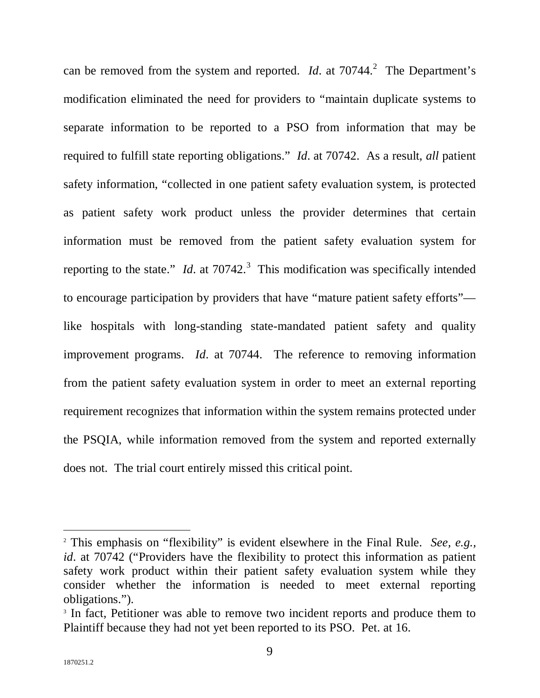can be removed from the system and reported. *Id.* at  $70744$ <sup>2</sup> The Department's modification eliminated the need for providers to "maintain duplicate systems to separate information to be reported to a PSO from information that may be required to fulfill state reporting obligations." *Id*. at 70742. As a result, *all* patient safety information, "collected in one patient safety evaluation system, is protected as patient safety work product unless the provider determines that certain information must be removed from the patient safety evaluation system for reporting to the state." *Id*. at  $70742$ .<sup>3</sup> This modification was specifically intended to encourage participation by providers that have "mature patient safety efforts" like hospitals with long-standing state-mandated patient safety and quality improvement programs. *Id*. at 70744. The reference to removing information from the patient safety evaluation system in order to meet an external reporting requirement recognizes that information within the system remains protected under the PSQIA, while information removed from the system and reported externally does not. The trial court entirely missed this critical point.

<sup>2</sup> This emphasis on "flexibility" is evident elsewhere in the Final Rule. *See, e.g., id*. at 70742 ("Providers have the flexibility to protect this information as patient safety work product within their patient safety evaluation system while they consider whether the information is needed to meet external reporting obligations.").

<sup>&</sup>lt;sup>3</sup> In fact, Petitioner was able to remove two incident reports and produce them to Plaintiff because they had not yet been reported to its PSO. Pet. at 16.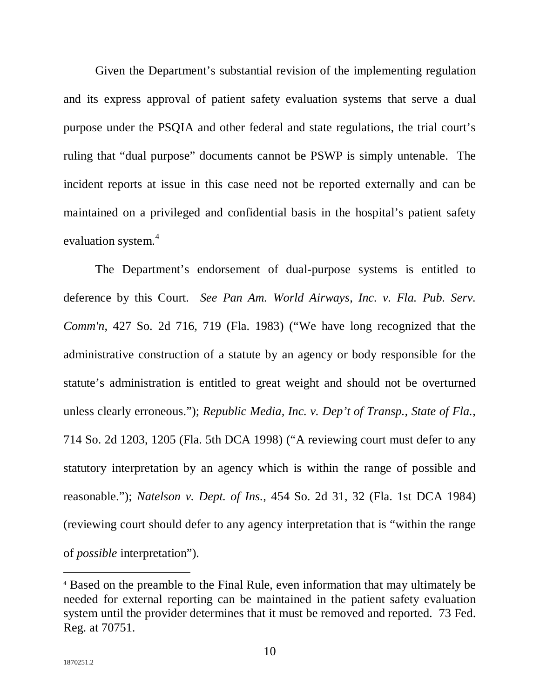Given the Department's substantial revision of the implementing regulation and its express approval of patient safety evaluation systems that serve a dual purpose under the PSQIA and other federal and state regulations, the trial court's ruling that "dual purpose" documents cannot be PSWP is simply untenable. The incident reports at issue in this case need not be reported externally and can be maintained on a privileged and confidential basis in the hospital's patient safety evaluation system.<sup>4</sup>

The Department's endorsement of dual-purpose systems is entitled to deference by this Court. *See Pan Am. World Airways, Inc. v. Fla. Pub. Serv. Comm'n*, 427 So. 2d 716, 719 (Fla. 1983) ("We have long recognized that the administrative construction of a statute by an agency or body responsible for the statute's administration is entitled to great weight and should not be overturned unless clearly erroneous."); *Republic Media, Inc. v. Dep't of Transp., State of Fla.*, 714 So. 2d 1203, 1205 (Fla. 5th DCA 1998) ("A reviewing court must defer to any statutory interpretation by an agency which is within the range of possible and reasonable."); *Natelson v. Dept. of Ins.*, 454 So. 2d 31, 32 (Fla. 1st DCA 1984) (reviewing court should defer to any agency interpretation that is "within the range of *possible* interpretation").

<sup>4</sup> Based on the preamble to the Final Rule, even information that may ultimately be needed for external reporting can be maintained in the patient safety evaluation system until the provider determines that it must be removed and reported. 73 Fed. Reg. at 70751.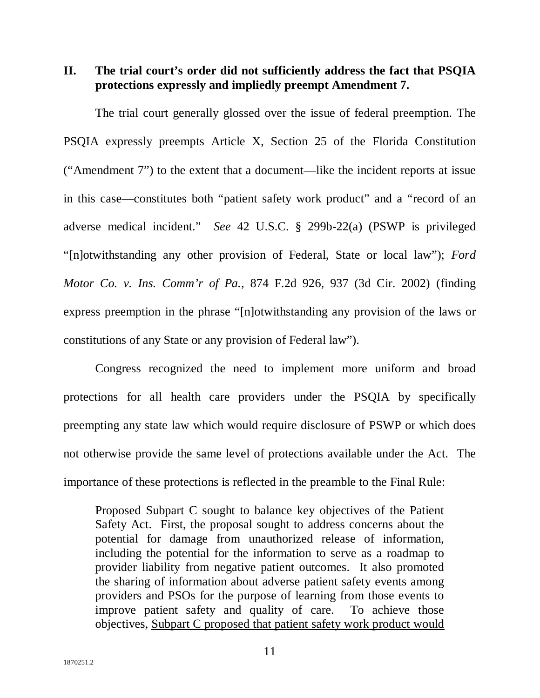**II. The trial court's order did not sufficiently address the fact that PSQIA protections expressly and impliedly preempt Amendment 7.**

The trial court generally glossed over the issue of federal preemption. The PSQIA expressly preempts Article X, Section 25 of the Florida Constitution ("Amendment 7") to the extent that a document—like the incident reports at issue in this case—constitutes both "patient safety work product" and a "record of an adverse medical incident." *See* 42 U.S.C. § 299b-22(a) (PSWP is privileged "[n]otwithstanding any other provision of Federal, State or local law"); *Ford Motor Co. v. Ins. Comm'r of Pa.*, 874 F.2d 926, 937 (3d Cir. 2002) (finding express preemption in the phrase "[n]otwithstanding any provision of the laws or constitutions of any State or any provision of Federal law").

Congress recognized the need to implement more uniform and broad protections for all health care providers under the PSQIA by specifically preempting any state law which would require disclosure of PSWP or which does not otherwise provide the same level of protections available under the Act. The importance of these protections is reflected in the preamble to the Final Rule:

Proposed Subpart C sought to balance key objectives of the Patient Safety Act. First, the proposal sought to address concerns about the potential for damage from unauthorized release of information, including the potential for the information to serve as a roadmap to provider liability from negative patient outcomes. It also promoted the sharing of information about adverse patient safety events among providers and PSOs for the purpose of learning from those events to improve patient safety and quality of care. To achieve those objectives, Subpart C proposed that patient safety work product would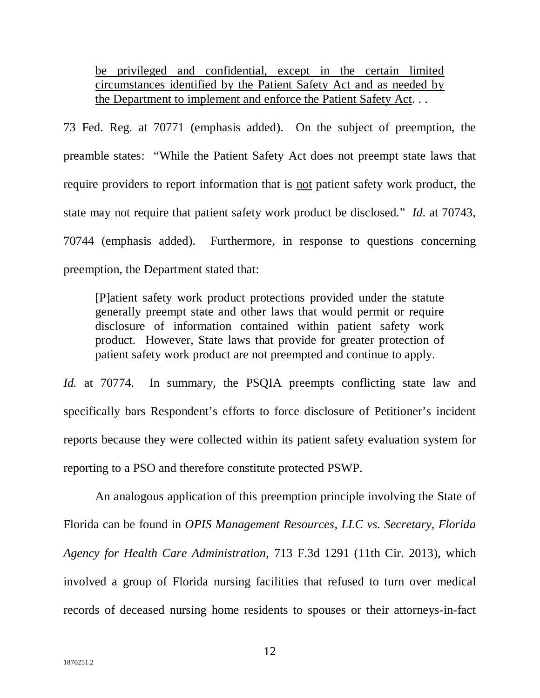be privileged and confidential, except in the certain limited circumstances identified by the Patient Safety Act and as needed by the Department to implement and enforce the Patient Safety Act. . .

73 Fed. Reg. at 70771 (emphasis added). On the subject of preemption, the preamble states: "While the Patient Safety Act does not preempt state laws that require providers to report information that is not patient safety work product, the state may not require that patient safety work product be disclosed." *Id*. at 70743, 70744 (emphasis added). Furthermore, in response to questions concerning preemption, the Department stated that:

[P]atient safety work product protections provided under the statute generally preempt state and other laws that would permit or require disclosure of information contained within patient safety work product. However, State laws that provide for greater protection of patient safety work product are not preempted and continue to apply.

*Id.* at 70774. In summary, the PSQIA preempts conflicting state law and specifically bars Respondent's efforts to force disclosure of Petitioner's incident reports because they were collected within its patient safety evaluation system for reporting to a PSO and therefore constitute protected PSWP.

An analogous application of this preemption principle involving the State of Florida can be found in *OPIS Management Resources, LLC vs. Secretary, Florida Agency for Health Care Administration*, 713 F.3d 1291 (11th Cir. 2013), which involved a group of Florida nursing facilities that refused to turn over medical records of deceased nursing home residents to spouses or their attorneys-in-fact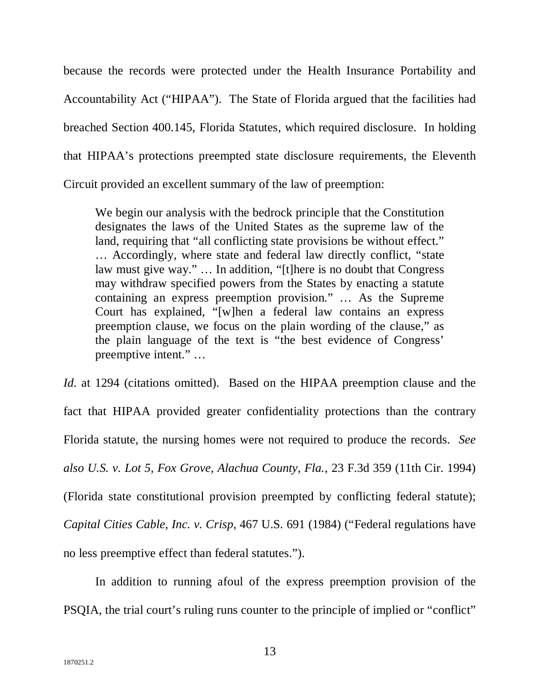because the records were protected under the Health Insurance Portability and Accountability Act ("HIPAA"). The State of Florida argued that the facilities had breached Section 400.145, Florida Statutes, which required disclosure. In holding that HIPAA's protections preempted state disclosure requirements, the Eleventh Circuit provided an excellent summary of the law of preemption:

We begin our analysis with the bedrock principle that the Constitution designates the laws of the United States as the supreme law of the land, requiring that "all conflicting state provisions be without effect." … Accordingly, where state and federal law directly conflict, "state law must give way." … In addition, "[t]here is no doubt that Congress may withdraw specified powers from the States by enacting a statute containing an express preemption provision." … As the Supreme Court has explained, "[w]hen a federal law contains an express preemption clause, we focus on the plain wording of the clause," as the plain language of the text is "the best evidence of Congress' preemptive intent." …

*Id.* at 1294 (citations omitted). Based on the HIPAA preemption clause and the fact that HIPAA provided greater confidentiality protections than the contrary Florida statute, the nursing homes were not required to produce the records. *See also U.S. v. Lot 5, Fox Grove, Alachua County, Fla.*, 23 F.3d 359 (11th Cir. 1994) (Florida state constitutional provision preempted by conflicting federal statute); *Capital Cities Cable, Inc. v. Crisp*, 467 U.S. 691 (1984) ("Federal regulations have no less preemptive effect than federal statutes.").

In addition to running afoul of the express preemption provision of the PSQIA, the trial court's ruling runs counter to the principle of implied or "conflict"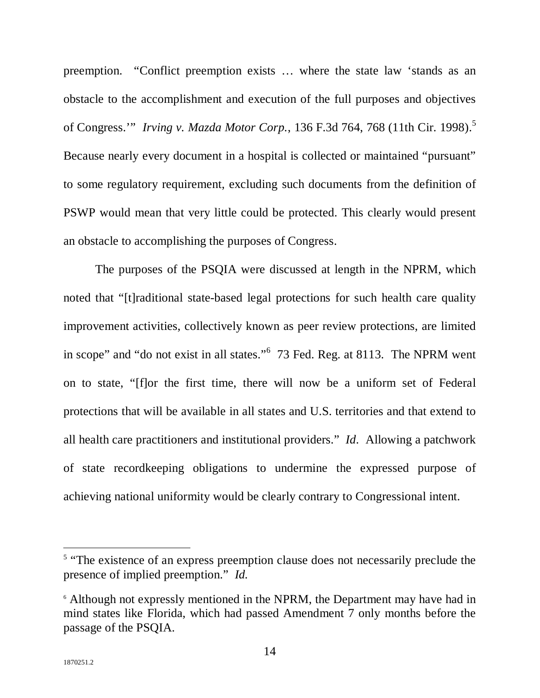preemption. "Conflict preemption exists … where the state law 'stands as an obstacle to the accomplishment and execution of the full purposes and objectives of Congress.'" *Irving v. Mazda Motor Corp.*, 136 F.3d 764, 768 (11th Cir. 1998). 5 Because nearly every document in a hospital is collected or maintained "pursuant" to some regulatory requirement, excluding such documents from the definition of PSWP would mean that very little could be protected. This clearly would present an obstacle to accomplishing the purposes of Congress.

The purposes of the PSQIA were discussed at length in the NPRM, which noted that "[t]raditional state-based legal protections for such health care quality improvement activities, collectively known as peer review protections, are limited in scope" and "do not exist in all states."<sup>6</sup> 73 Fed. Reg. at 8113. The NPRM went on to state, "[f]or the first time, there will now be a uniform set of Federal protections that will be available in all states and U.S. territories and that extend to all health care practitioners and institutional providers." *Id*. Allowing a patchwork of state recordkeeping obligations to undermine the expressed purpose of achieving national uniformity would be clearly contrary to Congressional intent.

<sup>&</sup>lt;sup>5</sup> "The existence of an express preemption clause does not necessarily preclude the presence of implied preemption." *Id.*

<sup>&</sup>lt;sup>6</sup> Although not expressly mentioned in the NPRM, the Department may have had in mind states like Florida, which had passed Amendment 7 only months before the passage of the PSQIA.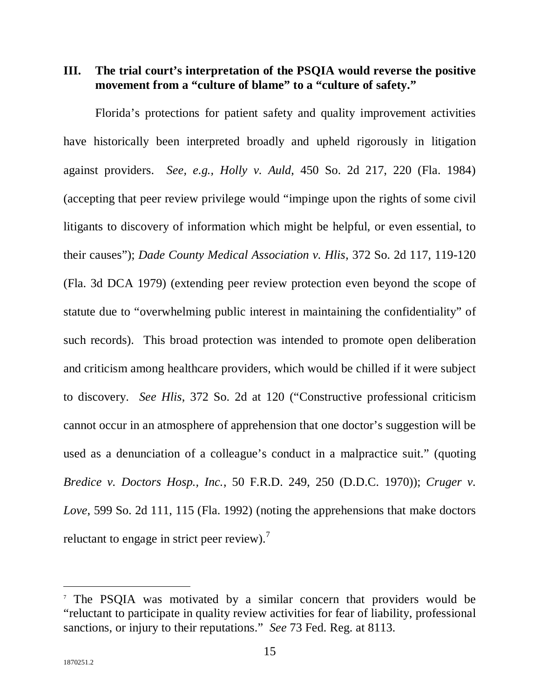**III. The trial court's interpretation of the PSQIA would reverse the positive movement from a "culture of blame" to a "culture of safety."** 

Florida's protections for patient safety and quality improvement activities have historically been interpreted broadly and upheld rigorously in litigation against providers. *See, e.g., Holly v. Auld*, 450 So. 2d 217, 220 (Fla. 1984) (accepting that peer review privilege would "impinge upon the rights of some civil litigants to discovery of information which might be helpful, or even essential, to their causes"); *Dade County Medical Association v. Hlis*, 372 So. 2d 117, 119-120 (Fla. 3d DCA 1979) (extending peer review protection even beyond the scope of statute due to "overwhelming public interest in maintaining the confidentiality" of such records). This broad protection was intended to promote open deliberation and criticism among healthcare providers, which would be chilled if it were subject to discovery. *See Hlis*, 372 So. 2d at 120 ("Constructive professional criticism cannot occur in an atmosphere of apprehension that one doctor's suggestion will be used as a denunciation of a colleague's conduct in a malpractice suit." (quoting *Bredice v. Doctors Hosp., Inc.*, 50 F.R.D. 249, 250 (D.D.C. 1970)); *Cruger v. Love*, 599 So. 2d 111, 115 (Fla. 1992) (noting the apprehensions that make doctors reluctant to engage in strict peer review).<sup>7</sup>

<sup>&</sup>lt;sup>7</sup> The PSQIA was motivated by a similar concern that providers would be "reluctant to participate in quality review activities for fear of liability, professional sanctions, or injury to their reputations." *See* 73 Fed. Reg. at 8113.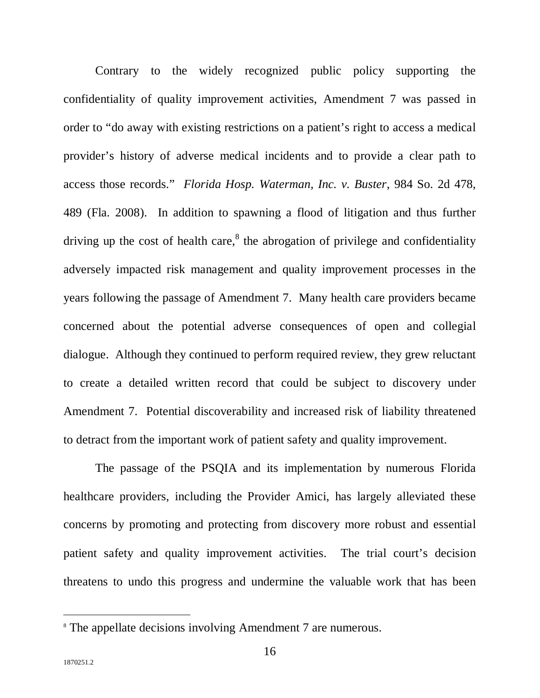Contrary to the widely recognized public policy supporting the confidentiality of quality improvement activities, Amendment 7 was passed in order to "do away with existing restrictions on a patient's right to access a medical provider's history of adverse medical incidents and to provide a clear path to access those records." *Florida Hosp. Waterman, Inc. v. Buster*, 984 So. 2d 478, 489 (Fla. 2008). In addition to spawning a flood of litigation and thus further driving up the cost of health care,<sup>8</sup> the abrogation of privilege and confidentiality adversely impacted risk management and quality improvement processes in the years following the passage of Amendment 7. Many health care providers became concerned about the potential adverse consequences of open and collegial dialogue. Although they continued to perform required review, they grew reluctant to create a detailed written record that could be subject to discovery under Amendment 7. Potential discoverability and increased risk of liability threatened to detract from the important work of patient safety and quality improvement.

The passage of the PSQIA and its implementation by numerous Florida healthcare providers, including the Provider Amici, has largely alleviated these concerns by promoting and protecting from discovery more robust and essential patient safety and quality improvement activities. The trial court's decision threatens to undo this progress and undermine the valuable work that has been

<sup>&</sup>lt;sup>8</sup> The appellate decisions involving Amendment 7 are numerous.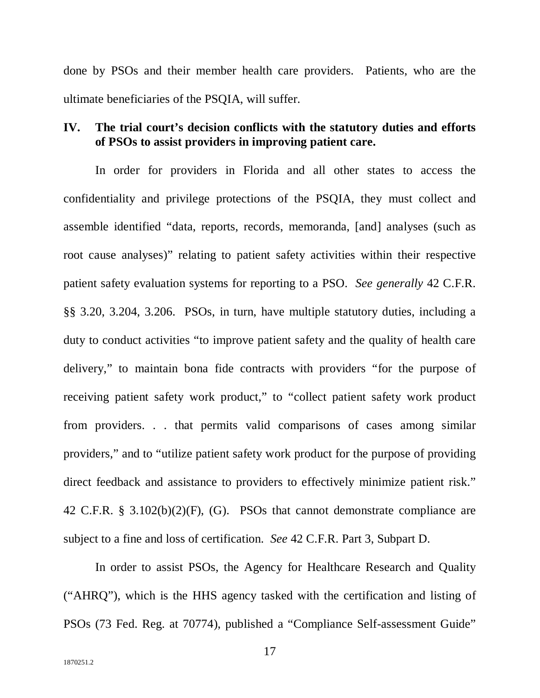done by PSOs and their member health care providers. Patients, who are the ultimate beneficiaries of the PSQIA, will suffer.

#### **IV. The trial court's decision conflicts with the statutory duties and efforts of PSOs to assist providers in improving patient care.**

In order for providers in Florida and all other states to access the confidentiality and privilege protections of the PSQIA, they must collect and assemble identified "data, reports, records, memoranda, [and] analyses (such as root cause analyses)" relating to patient safety activities within their respective patient safety evaluation systems for reporting to a PSO. *See generally* 42 C.F.R. §§ 3.20, 3.204, 3.206. PSOs, in turn, have multiple statutory duties, including a duty to conduct activities "to improve patient safety and the quality of health care delivery," to maintain bona fide contracts with providers "for the purpose of receiving patient safety work product," to "collect patient safety work product from providers. . . that permits valid comparisons of cases among similar providers," and to "utilize patient safety work product for the purpose of providing direct feedback and assistance to providers to effectively minimize patient risk." 42 C.F.R. § 3.102(b)(2)(F), (G). PSOs that cannot demonstrate compliance are subject to a fine and loss of certification. *See* 42 C.F.R. Part 3, Subpart D.

In order to assist PSOs, the Agency for Healthcare Research and Quality ("AHRQ"), which is the HHS agency tasked with the certification and listing of PSOs (73 Fed. Reg. at 70774), published a "Compliance Self-assessment Guide"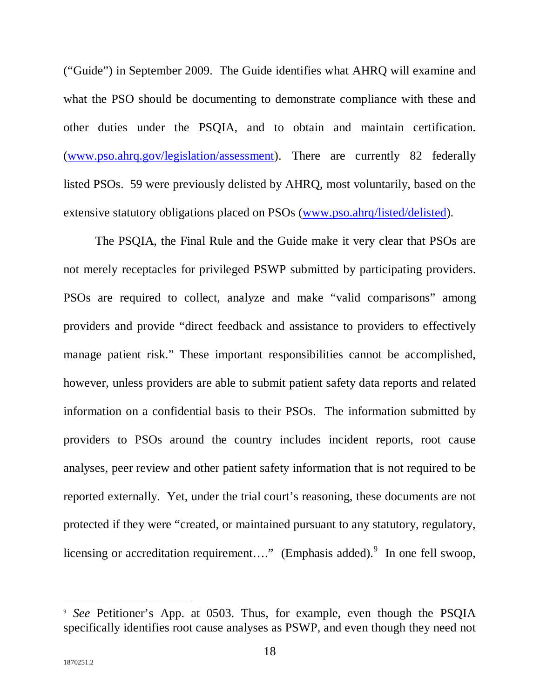("Guide") in September 2009. The Guide identifies what AHRQ will examine and what the PSO should be documenting to demonstrate compliance with these and other duties under the PSQIA, and to obtain and maintain certification. (www.pso.ahrq.gov/legislation/assessment). There are currently 82 federally listed PSOs. 59 were previously delisted by AHRQ, most voluntarily, based on the extensive statutory obligations placed on PSOs (www.pso.ahrq/listed/delisted).

The PSQIA, the Final Rule and the Guide make it very clear that PSOs are not merely receptacles for privileged PSWP submitted by participating providers. PSOs are required to collect, analyze and make "valid comparisons" among providers and provide "direct feedback and assistance to providers to effectively manage patient risk." These important responsibilities cannot be accomplished, however, unless providers are able to submit patient safety data reports and related information on a confidential basis to their PSOs. The information submitted by providers to PSOs around the country includes incident reports, root cause analyses, peer review and other patient safety information that is not required to be reported externally. Yet, under the trial court's reasoning, these documents are not protected if they were "created, or maintained pursuant to any statutory, regulatory, licensing or accreditation requirement...." (Emphasis added). In one fell swoop,

<sup>9</sup> *See* Petitioner's App. at 0503. Thus, for example, even though the PSQIA specifically identifies root cause analyses as PSWP, and even though they need not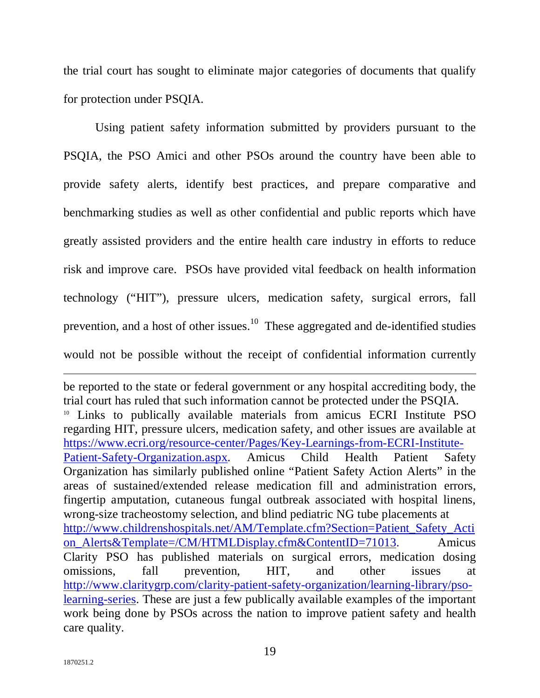the trial court has sought to eliminate major categories of documents that qualify for protection under PSQIA.

Using patient safety information submitted by providers pursuant to the PSQIA, the PSO Amici and other PSOs around the country have been able to provide safety alerts, identify best practices, and prepare comparative and benchmarking studies as well as other confidential and public reports which have greatly assisted providers and the entire health care industry in efforts to reduce risk and improve care. PSOs have provided vital feedback on health information technology ("HIT"), pressure ulcers, medication safety, surgical errors, fall prevention, and a host of other issues.<sup>10</sup> These aggregated and de-identified studies would not be possible without the receipt of confidential information currently

be reported to the state or federal government or any hospital accrediting body, the trial court has ruled that such information cannot be protected under the PSQIA. <sup>10</sup> Links to publically available materials from amicus ECRI Institute PSO regarding HIT, pressure ulcers, medication safety, and other issues are available at https://www.ecri.org/resource-center/Pages/Key-Learnings-from-ECRI-Institute-Patient-Safety-Organization.aspx. Amicus Child Health Patient Safety Organization has similarly published online "Patient Safety Action Alerts" in the areas of sustained/extended release medication fill and administration errors, fingertip amputation, cutaneous fungal outbreak associated with hospital linens, wrong-size tracheostomy selection, and blind pediatric NG tube placements at http://www.childrenshospitals.net/AM/Template.cfm?Section=Patient\_Safety\_Acti on\_Alerts&Template=/CM/HTMLDisplay.cfm&ContentID=71013. Amicus Clarity PSO has published materials on surgical errors, medication dosing omissions, fall prevention, HIT, and other issues at http://www.claritygrp.com/clarity-patient-safety-organization/learning-library/psolearning-series. These are just a few publically available examples of the important work being done by PSOs across the nation to improve patient safety and health care quality.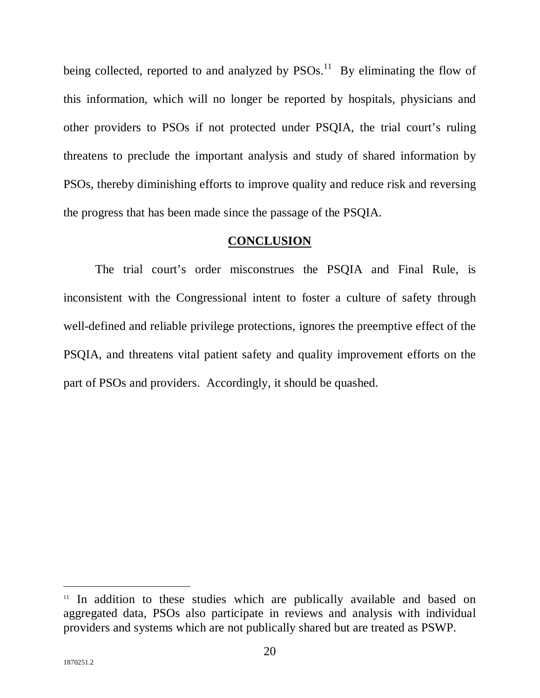being collected, reported to and analyzed by  $PSOs$ .<sup>11</sup> By eliminating the flow of this information, which will no longer be reported by hospitals, physicians and other providers to PSOs if not protected under PSQIA, the trial court's ruling threatens to preclude the important analysis and study of shared information by PSOs, thereby diminishing efforts to improve quality and reduce risk and reversing the progress that has been made since the passage of the PSQIA.

#### **CONCLUSION**

The trial court's order misconstrues the PSQIA and Final Rule, is inconsistent with the Congressional intent to foster a culture of safety through well-defined and reliable privilege protections, ignores the preemptive effect of the PSQIA, and threatens vital patient safety and quality improvement efforts on the part of PSOs and providers. Accordingly, it should be quashed.

<sup>&</sup>lt;sup>11</sup> In addition to these studies which are publically available and based on aggregated data, PSOs also participate in reviews and analysis with individual providers and systems which are not publically shared but are treated as PSWP.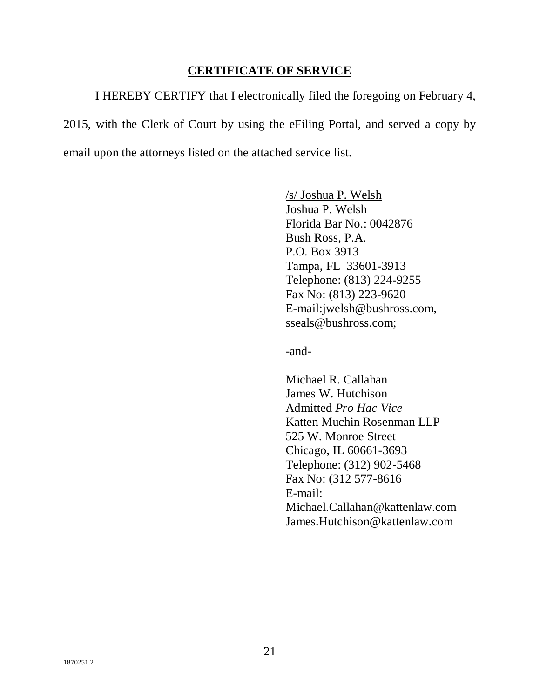#### **CERTIFICATE OF SERVICE**

I HEREBY CERTIFY that I electronically filed the foregoing on February 4, 2015, with the Clerk of Court by using the eFiling Portal, and served a copy by email upon the attorneys listed on the attached service list.

> /s/ Joshua P. Welsh Joshua P. Welsh Florida Bar No.: 0042876 Bush Ross, P.A. P.O. Box 3913 Tampa, FL 33601-3913 Telephone: (813) 224-9255 Fax No: (813) 223-9620 E-mail:jwelsh@bushross.com, sseals@bushross.com;

-and-

Michael R. Callahan James W. Hutchison Admitted *Pro Hac Vice* Katten Muchin Rosenman LLP 525 W. Monroe Street Chicago, IL 60661-3693 Telephone: (312) 902-5468 Fax No: (312 577-8616 E-mail: Michael.Callahan@kattenlaw.com James.Hutchison@kattenlaw.com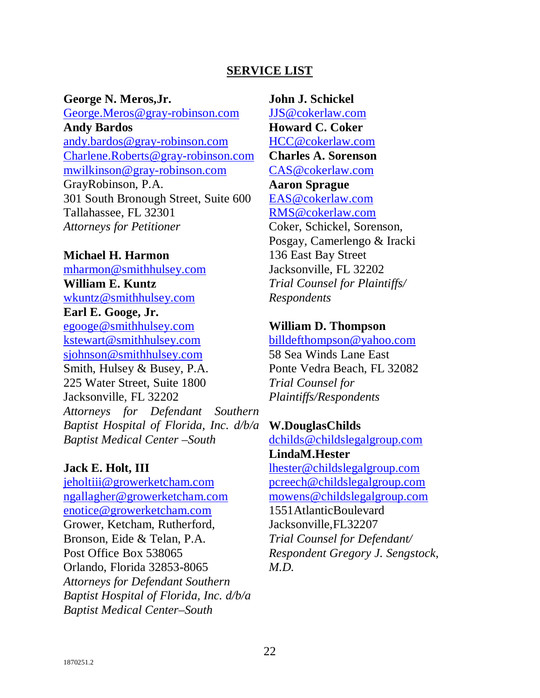### **SERVICE LIST**

**George N. Meros,Jr.** 

George.Meros@gray-robinson.com **Andy Bardos**  andy.bardos@gray-robinson.com Charlene.Roberts@gray-robinson.com mwilkinson@gray-robinson.com GrayRobinson, P.A. 301 South Bronough Street, Suite 600 Tallahassee, FL 32301 *Attorneys for Petitioner* 

#### **Michael H. Harmon**

mharmon@smithhulsey.com **William E. Kuntz**  wkuntz@smithhulsey.com **Earl E. Googe, Jr.**  egooge@smithhulsey.com kstewart@smithhulsey.com sjohnson@smithhulsey.com Smith, Hulsey & Busey, P.A. 225 Water Street, Suite 1800 Jacksonville, FL 32202 *Attorneys for Defendant Southern Baptist Hospital of Florida, Inc. d/b/a Baptist Medical Center –South* 

#### **Jack E. Holt, III**

jeholtiii@growerketcham.com ngallagher@growerketcham.com enotice@growerketcham.com Grower, Ketcham, Rutherford, Bronson, Eide & Telan, P.A. Post Office Box 538065 Orlando, Florida 32853-8065 *Attorneys for Defendant Southern Baptist Hospital of Florida, Inc. d/b/a Baptist Medical Center–South*

#### **John J. Schickel**

JJS@cokerlaw.com **Howard C. Coker**  HCC@cokerlaw.com **Charles A. Sorenson**  CAS@cokerlaw.com **Aaron Sprague**  EAS@cokerlaw.com RMS@cokerlaw.com Coker, Schickel, Sorenson, Posgay, Camerlengo & Iracki 136 East Bay Street Jacksonville, FL 32202 *Trial Counsel for Plaintiffs/ Respondents* 

#### **William D. Thompson**

billdefthompson@yahoo.com 58 Sea Winds Lane East Ponte Vedra Beach, FL 32082 *Trial Counsel for Plaintiffs/Respondents* 

**W.DouglasChilds** dchilds@childslegalgroup.com **LindaM.Hester** lhester@childslegalgroup.com pcreech@childslegalgroup.com mowens@childslegalgroup.com 1551AtlanticBoulevard Jacksonville,FL32207 *Trial Counsel for Defendant/ Respondent Gregory J. Sengstock, M.D.*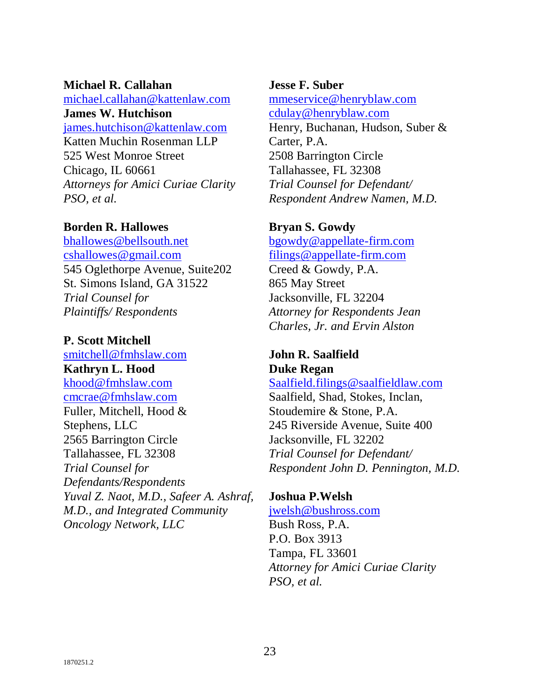#### **Michael R. Callahan**

michael.callahan@kattenlaw.com **James W. Hutchison**

james.hutchison@kattenlaw.com Katten Muchin Rosenman LLP 525 West Monroe Street Chicago, IL 60661 *Attorneys for Amici Curiae Clarity PSO, et al.*

### **Borden R. Hallowes**

bhallowes@bellsouth.net cshallowes@gmail.com 545 Oglethorpe Avenue, Suite202 St. Simons Island, GA 31522 *Trial Counsel for Plaintiffs/ Respondents* 

# **P. Scott Mitchell**

smitchell@fmhslaw.com **Kathryn L. Hood** khood@fmhslaw.com cmcrae@fmhslaw.com Fuller, Mitchell, Hood & Stephens, LLC 2565 Barrington Circle Tallahassee, FL 32308 *Trial Counsel for Defendants/Respondents Yuval Z. Naot, M.D., Safeer A. Ashraf, M.D., and Integrated Community Oncology Network, LLC* 

#### **Jesse F. Suber**

mmeservice@henryblaw.com cdulay@henryblaw.com Henry, Buchanan, Hudson, Suber & Carter, P.A. 2508 Barrington Circle Tallahassee, FL 32308 *Trial Counsel for Defendant/ Respondent Andrew Namen, M.D.*

#### **Bryan S. Gowdy**

bgowdy@appellate-firm.com filings@appellate-firm.com Creed & Gowdy, P.A. 865 May Street Jacksonville, FL 32204 *Attorney for Respondents Jean Charles, Jr. and Ervin Alston*

## **John R. Saalfield Duke Regan**

#### Saalfield.filings@saalfieldlaw.com

Saalfield, Shad, Stokes, Inclan, Stoudemire & Stone, P.A. 245 Riverside Avenue, Suite 400 Jacksonville, FL 32202 *Trial Counsel for Defendant/ Respondent John D. Pennington, M.D.*

## **Joshua P.Welsh**

#### jwelsh@bushross.com

Bush Ross, P.A. P.O. Box 3913 Tampa, FL 33601 *Attorney for Amici Curiae Clarity PSO, et al.*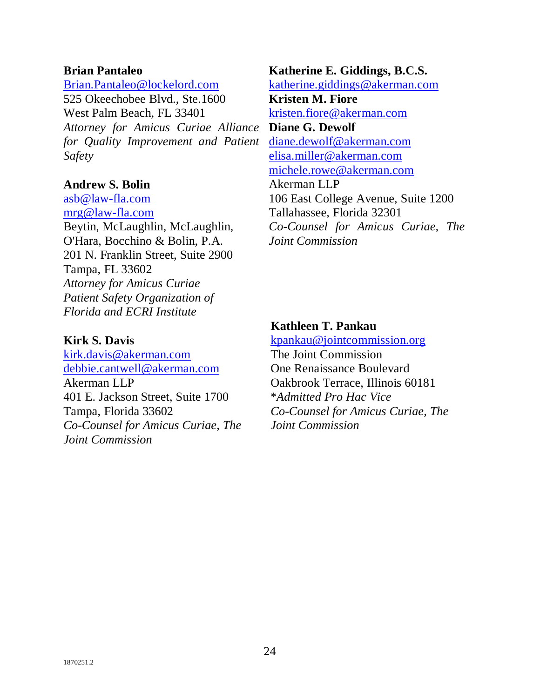#### **Brian Pantaleo**

Brian.Pantaleo@lockelord.com

525 Okeechobee Blvd., Ste.1600 West Palm Beach, FL 33401 *Attorney for Amicus Curiae Alliance*  **Diane G. Dewolf** *for Quality Improvement and Patient Safety*

#### **Andrew S. Bolin**

asb@law-fla.com mrg@law-fla.com Beytin, McLaughlin, McLaughlin, O'Hara, Bocchino & Bolin, P.A. 201 N. Franklin Street, Suite 2900 Tampa, FL 33602 *Attorney for Amicus Curiae Patient Safety Organization of Florida and ECRI Institute*

#### **Kirk S. Davis**

kirk.davis@akerman.com debbie.cantwell@akerman.com Akerman LLP 401 E. Jackson Street, Suite 1700 Tampa, Florida 33602 *Co-Counsel for Amicus Curiae, The Joint Commission*

**Katherine E. Giddings, B.C.S.** katherine.giddings@akerman.com **Kristen M. Fiore** kristen.fiore@akerman.com diane.dewolf@akerman.com elisa.miller@akerman.com michele.rowe@akerman.com Akerman LLP 106 East College Avenue, Suite 1200 Tallahassee, Florida 32301 *Co-Counsel for Amicus Curiae, The Joint Commission*

## **Kathleen T. Pankau**

kpankau@jointcommission.org The Joint Commission One Renaissance Boulevard Oakbrook Terrace, Illinois 60181 \**Admitted Pro Hac Vice Co-Counsel for Amicus Curiae, The Joint Commission*